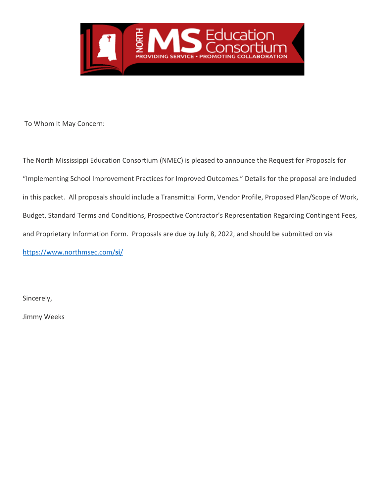

To Whom It May Concern:

The North Mississippi Education Consortium (NMEC) is pleased to announce the Request for Proposals for "Implementing School Improvement Practices for Improved Outcomes." Details for the proposal are included in this packet. All proposals should include a Transmittal Form, Vendor Profile, Proposed Plan/Scope of Work, Budget, Standard Terms and Conditions, Prospective Contractor's Representation Regarding Contingent Fees, and Proprietary Information Form. Proposals are due by July 8, 2022, and should be submitted on via https://www.northmsec.com/**si**/

Sincerely,

Jimmy Weeks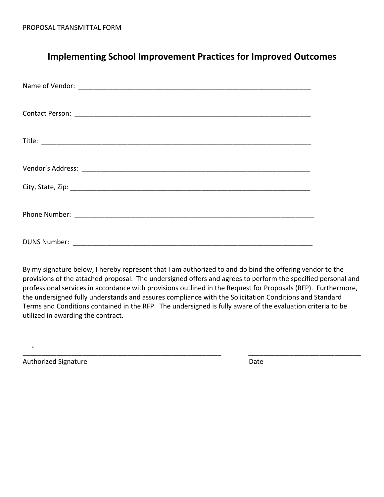# **Implementing School Improvement Practices for Improved Outcomes**

By my signature below, I hereby represent that I am authorized to and do bind the offering vendor to the provisions of the attached proposal. The undersigned offers and agrees to perform the specified personal and professional services in accordance with provisions outlined in the Request for Proposals (RFP). Furthermore, the undersigned fully understands and assures compliance with the Solicitation Conditions and Standard Terms and Conditions contained in the RFP. The undersigned is fully aware of the evaluation criteria to be utilized in awarding the contract.

\_\_\_\_\_\_\_\_\_\_\_\_\_\_\_\_\_\_\_\_\_\_\_\_\_\_\_\_\_\_\_\_\_\_\_\_\_\_\_\_\_\_\_\_\_\_\_\_\_\_\_\_\_ \_\_\_\_\_\_\_\_\_\_\_\_\_\_\_\_\_\_\_\_\_\_\_\_\_\_\_\_\_\_

Authorized Signature **Date**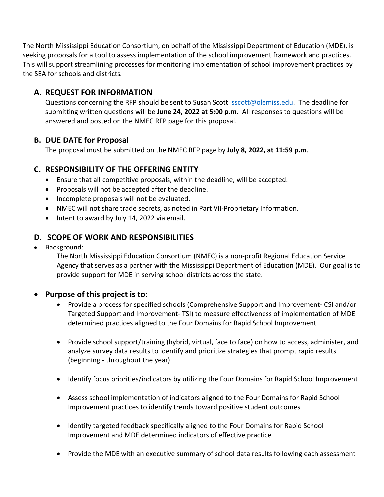The North Mississippi Education Consortium, on behalf of the Mississippi Department of Education (MDE), is seeking proposals for a tool to assess implementation of the school improvement framework and practices. This will support streamlining processes for monitoring implementation of school improvement practices by the SEA for schools and districts.

# **A. REQUEST FOR INFORMATION**

Questions concerning the RFP should be sent to Susan Scott sscott@olemiss.edu. The deadline for submitting written questions will be **June 24, 2022 at 5:00 p.m**. All responses to questions will be answered and posted on the NMEC RFP page for this proposal.

# **B. DUE DATE for Proposal**

The proposal must be submitted on the NMEC RFP page by **July 8, 2022, at 11:59 p.m**.

# **C. RESPONSIBILITY OF THE OFFERING ENTITY**

- Ensure that all competitive proposals, within the deadline, will be accepted.
- Proposals will not be accepted after the deadline.
- Incomplete proposals will not be evaluated.
- NMEC will not share trade secrets, as noted in Part VII-Proprietary Information.
- Intent to award by July 14, 2022 via email.

# **D. SCOPE OF WORK AND RESPONSIBILITIES**

• Background:

The North Mississippi Education Consortium (NMEC) is a non-profit Regional Education Service Agency that serves as a partner with the Mississippi Department of Education (MDE). Our goal is to provide support for MDE in serving school districts across the state.

### • **Purpose of this project is to:**

- Provide a process for specified schools (Comprehensive Support and Improvement- CSI and/or Targeted Support and Improvement- TSI) to measure effectiveness of implementation of MDE determined practices aligned to the Four Domains for Rapid School Improvement
- Provide school support/training (hybrid, virtual, face to face) on how to access, administer, and analyze survey data results to identify and prioritize strategies that prompt rapid results (beginning - throughout the year)
- Identify focus priorities/indicators by utilizing the Four Domains for Rapid School Improvement
- Assess school implementation of indicators aligned to the Four Domains for Rapid School Improvement practices to identify trends toward positive student outcomes
- Identify targeted feedback specifically aligned to the Four Domains for Rapid School Improvement and MDE determined indicators of effective practice
- Provide the MDE with an executive summary of school data results following each assessment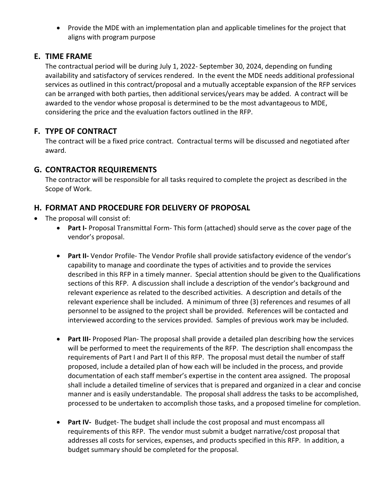• Provide the MDE with an implementation plan and applicable timelines for the project that aligns with program purpose

### **E. TIME FRAME**

The contractual period will be during July 1, 2022- September 30, 2024, depending on funding availability and satisfactory of services rendered. In the event the MDE needs additional professional services as outlined in this contract/proposal and a mutually acceptable expansion of the RFP services can be arranged with both parties, then additional services/years may be added. A contract will be awarded to the vendor whose proposal is determined to be the most advantageous to MDE, considering the price and the evaluation factors outlined in the RFP.

# **F. TYPE OF CONTRACT**

The contract will be a fixed price contract. Contractual terms will be discussed and negotiated after award.

# **G. CONTRACTOR REQUIREMENTS**

The contractor will be responsible for all tasks required to complete the project as described in the Scope of Work.

# **H. FORMAT AND PROCEDURE FOR DELIVERY OF PROPOSAL**

- The proposal will consist of:
	- **Part I-** Proposal Transmittal Form- This form (attached) should serve as the cover page of the vendor's proposal.
	- **Part II-** Vendor Profile- The Vendor Profile shall provide satisfactory evidence of the vendor's capability to manage and coordinate the types of activities and to provide the services described in this RFP in a timely manner. Special attention should be given to the Qualifications sections of this RFP. A discussion shall include a description of the vendor's background and relevant experience as related to the described activities. A description and details of the relevant experience shall be included. A minimum of three (3) references and resumes of all personnel to be assigned to the project shall be provided. References will be contacted and interviewed according to the services provided. Samples of previous work may be included.
	- **Part III-** Proposed Plan- The proposal shall provide a detailed plan describing how the services will be performed to meet the requirements of the RFP. The description shall encompass the requirements of Part I and Part II of this RFP. The proposal must detail the number of staff proposed, include a detailed plan of how each will be included in the process, and provide documentation of each staff member's expertise in the content area assigned. The proposal shall include a detailed timeline of services that is prepared and organized in a clear and concise manner and is easily understandable. The proposal shall address the tasks to be accomplished, processed to be undertaken to accomplish those tasks, and a proposed timeline for completion.
	- **Part IV-** Budget- The budget shall include the cost proposal and must encompass all requirements of this RFP. The vendor must submit a budget narrative/cost proposal that addresses all costs for services, expenses, and products specified in this RFP. In addition, a budget summary should be completed for the proposal.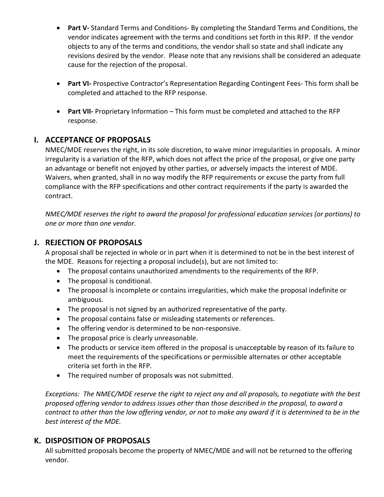- **Part V-** Standard Terms and Conditions- By completing the Standard Terms and Conditions, the vendor indicates agreement with the terms and conditions set forth in this RFP. If the vendor objects to any of the terms and conditions, the vendor shall so state and shall indicate any revisions desired by the vendor. Please note that any revisions shall be considered an adequate cause for the rejection of the proposal.
- **Part VI-** Prospective Contractor's Representation Regarding Contingent Fees- This form shall be completed and attached to the RFP response.
- **Part VII-** Proprietary Information This form must be completed and attached to the RFP response.

# **I. ACCEPTANCE OF PROPOSALS**

NMEC/MDE reserves the right, in its sole discretion, to waive minor irregularities in proposals. A minor irregularity is a variation of the RFP, which does not affect the price of the proposal, or give one party an advantage or benefit not enjoyed by other parties, or adversely impacts the interest of MDE. Waivers, when granted, shall in no way modify the RFP requirements or excuse the party from full compliance with the RFP specifications and other contract requirements if the party is awarded the contract.

*NMEC/MDE reserves the right to award the proposal for professional education services (or portions) to one or more than one vendor.*

# **J. REJECTION OF PROPOSALS**

A proposal shall be rejected in whole or in part when it is determined to not be in the best interest of the MDE. Reasons for rejecting a proposal include(s), but are not limited to:

- The proposal contains unauthorized amendments to the requirements of the RFP.
- The proposal is conditional.
- The proposal is incomplete or contains irregularities, which make the proposal indefinite or ambiguous.
- The proposal is not signed by an authorized representative of the party.
- The proposal contains false or misleading statements or references.
- The offering vendor is determined to be non-responsive.
- The proposal price is clearly unreasonable.
- The products or service item offered in the proposal is unacceptable by reason of its failure to meet the requirements of the specifications or permissible alternates or other acceptable criteria set forth in the RFP.
- The required number of proposals was not submitted.

*Exceptions: The NMEC/MDE reserve the right to reject any and all proposals, to negotiate with the best proposed offering vendor to address issues other than those described in the proposal, to award a contract to other than the low offering vendor, or not to make any award if it is determined to be in the best interest of the MDE.*

### **K. DISPOSITION OF PROPOSALS**

All submitted proposals become the property of NMEC/MDE and will not be returned to the offering vendor.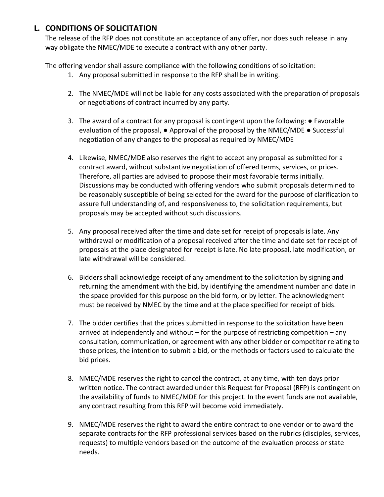# **L. CONDITIONS OF SOLICITATION**

The release of the RFP does not constitute an acceptance of any offer, nor does such release in any way obligate the NMEC/MDE to execute a contract with any other party.

The offering vendor shall assure compliance with the following conditions of solicitation:

- 1. Any proposal submitted in response to the RFP shall be in writing.
- 2. The NMEC/MDE will not be liable for any costs associated with the preparation of proposals or negotiations of contract incurred by any party.
- 3. The award of a contract for any proposal is contingent upon the following: Favorable evaluation of the proposal,  $\bullet$  Approval of the proposal by the NMEC/MDE  $\bullet$  Successful negotiation of any changes to the proposal as required by NMEC/MDE
- 4. Likewise, NMEC/MDE also reserves the right to accept any proposal as submitted for a contract award, without substantive negotiation of offered terms, services, or prices. Therefore, all parties are advised to propose their most favorable terms initially. Discussions may be conducted with offering vendors who submit proposals determined to be reasonably susceptible of being selected for the award for the purpose of clarification to assure full understanding of, and responsiveness to, the solicitation requirements, but proposals may be accepted without such discussions.
- 5. Any proposal received after the time and date set for receipt of proposals is late. Any withdrawal or modification of a proposal received after the time and date set for receipt of proposals at the place designated for receipt is late. No late proposal, late modification, or late withdrawal will be considered.
- 6. Bidders shall acknowledge receipt of any amendment to the solicitation by signing and returning the amendment with the bid, by identifying the amendment number and date in the space provided for this purpose on the bid form, or by letter. The acknowledgment must be received by NMEC by the time and at the place specified for receipt of bids.
- 7. The bidder certifies that the prices submitted in response to the solicitation have been arrived at independently and without – for the purpose of restricting competition – any consultation, communication, or agreement with any other bidder or competitor relating to those prices, the intention to submit a bid, or the methods or factors used to calculate the bid prices.
- 8. NMEC/MDE reserves the right to cancel the contract, at any time, with ten days prior written notice. The contract awarded under this Request for Proposal (RFP) is contingent on the availability of funds to NMEC/MDE for this project. In the event funds are not available, any contract resulting from this RFP will become void immediately.
- 9. NMEC/MDE reserves the right to award the entire contract to one vendor or to award the separate contracts for the RFP professional services based on the rubrics (disciples, services, requests) to multiple vendors based on the outcome of the evaluation process or state needs.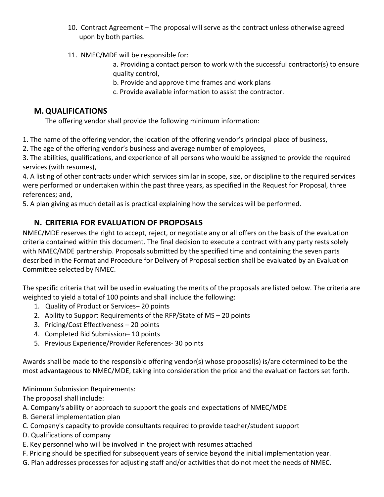- 10. Contract Agreement The proposal will serve as the contract unless otherwise agreed upon by both parties.
- 11. NMEC/MDE will be responsible for:
	- a. Providing a contact person to work with the successful contractor(s) to ensure quality control,
	- b. Provide and approve time frames and work plans
	- c. Provide available information to assist the contractor.

# **M.QUALIFICATIONS**

The offering vendor shall provide the following minimum information:

1. The name of the offering vendor, the location of the offering vendor's principal place of business,

2. The age of the offering vendor's business and average number of employees,

3. The abilities, qualifications, and experience of all persons who would be assigned to provide the required services (with resumes),

4. A listing of other contracts under which services similar in scope, size, or discipline to the required services were performed or undertaken within the past three years, as specified in the Request for Proposal, three references; and,

5. A plan giving as much detail as is practical explaining how the services will be performed.

# **N. CRITERIA FOR EVALUATION OF PROPOSALS**

NMEC/MDE reserves the right to accept, reject, or negotiate any or all offers on the basis of the evaluation criteria contained within this document. The final decision to execute a contract with any party rests solely with NMEC/MDE partnership. Proposals submitted by the specified time and containing the seven parts described in the Format and Procedure for Delivery of Proposal section shall be evaluated by an Evaluation Committee selected by NMEC.

The specific criteria that will be used in evaluating the merits of the proposals are listed below. The criteria are weighted to yield a total of 100 points and shall include the following:

- 1. Quality of Product or Services– 20 points
- 2. Ability to Support Requirements of the RFP/State of MS 20 points
- 3. Pricing/Cost Effectiveness 20 points
- 4. Completed Bid Submission– 10 points
- 5. Previous Experience/Provider References- 30 points

Awards shall be made to the responsible offering vendor(s) whose proposal(s) is/are determined to be the most advantageous to NMEC/MDE, taking into consideration the price and the evaluation factors set forth.

Minimum Submission Requirements:

The proposal shall include:

- A. Company's ability or approach to support the goals and expectations of NMEC/MDE
- B. General implementation plan
- C. Company's capacity to provide consultants required to provide teacher/student support
- D. Qualifications of company
- E. Key personnel who will be involved in the project with resumes attached
- F. Pricing should be specified for subsequent years of service beyond the initial implementation year.
- G. Plan addresses processes for adjusting staff and/or activities that do not meet the needs of NMEC.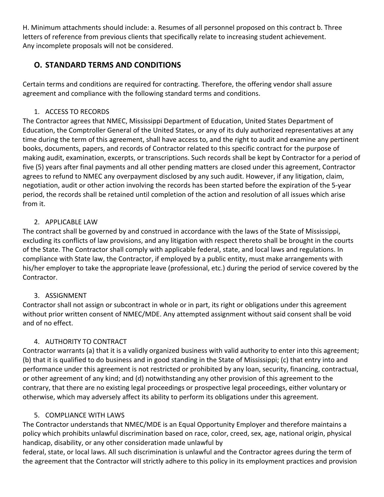H. Minimum attachments should include: a. Resumes of all personnel proposed on this contract b. Three letters of reference from previous clients that specifically relate to increasing student achievement. Any incomplete proposals will not be considered.

# **O. STANDARD TERMS AND CONDITIONS**

Certain terms and conditions are required for contracting. Therefore, the offering vendor shall assure agreement and compliance with the following standard terms and conditions.

### 1. ACCESS TO RECORDS

The Contractor agrees that NMEC, Mississippi Department of Education, United States Department of Education, the Comptroller General of the United States, or any of its duly authorized representatives at any time during the term of this agreement, shall have access to, and the right to audit and examine any pertinent books, documents, papers, and records of Contractor related to this specific contract for the purpose of making audit, examination, excerpts, or transcriptions. Such records shall be kept by Contractor for a period of five (5) years after final payments and all other pending matters are closed under this agreement, Contractor agrees to refund to NMEC any overpayment disclosed by any such audit. However, if any litigation, claim, negotiation, audit or other action involving the records has been started before the expiration of the 5-year period, the records shall be retained until completion of the action and resolution of all issues which arise from it.

### 2. APPLICABLE LAW

The contract shall be governed by and construed in accordance with the laws of the State of Mississippi, excluding its conflicts of law provisions, and any litigation with respect thereto shall be brought in the courts of the State. The Contractor shall comply with applicable federal, state, and local laws and regulations. In compliance with State law, the Contractor, if employed by a public entity, must make arrangements with his/her employer to take the appropriate leave (professional, etc.) during the period of service covered by the Contractor.

# 3. ASSIGNMENT

Contractor shall not assign or subcontract in whole or in part, its right or obligations under this agreement without prior written consent of NMEC/MDE. Any attempted assignment without said consent shall be void and of no effect.

# 4. AUTHORITY TO CONTRACT

Contractor warrants (a) that it is a validly organized business with valid authority to enter into this agreement; (b) that it is qualified to do business and in good standing in the State of Mississippi; (c) that entry into and performance under this agreement is not restricted or prohibited by any loan, security, financing, contractual, or other agreement of any kind; and (d) notwithstanding any other provision of this agreement to the contrary, that there are no existing legal proceedings or prospective legal proceedings, either voluntary or otherwise, which may adversely affect its ability to perform its obligations under this agreement.

### 5. COMPLIANCE WITH LAWS

The Contractor understands that NMEC/MDE is an Equal Opportunity Employer and therefore maintains a policy which prohibits unlawful discrimination based on race, color, creed, sex, age, national origin, physical handicap, disability, or any other consideration made unlawful by

federal, state, or local laws. All such discrimination is unlawful and the Contractor agrees during the term of the agreement that the Contractor will strictly adhere to this policy in its employment practices and provision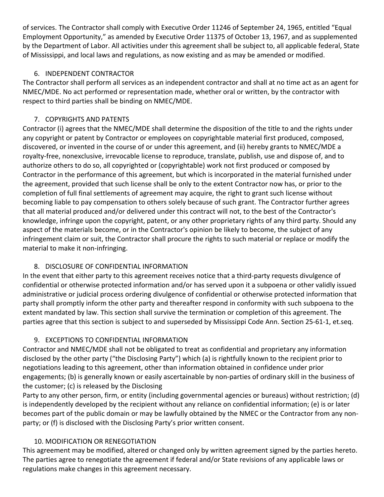of services. The Contractor shall comply with Executive Order 11246 of September 24, 1965, entitled "Equal Employment Opportunity," as amended by Executive Order 11375 of October 13, 1967, and as supplemented by the Department of Labor. All activities under this agreement shall be subject to, all applicable federal, State of Mississippi, and local laws and regulations, as now existing and as may be amended or modified.

### 6. INDEPENDENT CONTRACTOR

The Contractor shall perform all services as an independent contractor and shall at no time act as an agent for NMEC/MDE. No act performed or representation made, whether oral or written, by the contractor with respect to third parties shall be binding on NMEC/MDE.

### 7. COPYRIGHTS AND PATENTS

Contractor (i) agrees that the NMEC/MDE shall determine the disposition of the title to and the rights under any copyright or patent by Contractor or employees on copyrightable material first produced, composed, discovered, or invented in the course of or under this agreement, and (ii) hereby grants to NMEC/MDE a royalty-free, nonexclusive, irrevocable license to reproduce, translate, publish, use and dispose of, and to authorize others to do so, all copyrighted or (copyrightable) work not first produced or composed by Contractor in the performance of this agreement, but which is incorporated in the material furnished under the agreement, provided that such license shall be only to the extent Contractor now has, or prior to the completion of full final settlements of agreement may acquire, the right to grant such license without becoming liable to pay compensation to others solely because of such grant. The Contractor further agrees that all material produced and/or delivered under this contract will not, to the best of the Contractor's knowledge, infringe upon the copyright, patent, or any other proprietary rights of any third party. Should any aspect of the materials become, or in the Contractor's opinion be likely to become, the subject of any infringement claim or suit, the Contractor shall procure the rights to such material or replace or modify the material to make it non-infringing.

### 8. DISCLOSURE OF CONFIDENTIAL INFORMATION

In the event that either party to this agreement receives notice that a third-party requests divulgence of confidential or otherwise protected information and/or has served upon it a subpoena or other validly issued administrative or judicial process ordering divulgence of confidential or otherwise protected information that party shall promptly inform the other party and thereafter respond in conformity with such subpoena to the extent mandated by law. This section shall survive the termination or completion of this agreement. The parties agree that this section is subject to and superseded by Mississippi Code Ann. Section 25-61-1, et.seq.

### 9. EXCEPTIONS TO CONFIDENTIAL INFORMATION

Contractor and NMEC/MDE shall not be obligated to treat as confidential and proprietary any information disclosed by the other party ("the Disclosing Party") which (a) is rightfully known to the recipient prior to negotiations leading to this agreement, other than information obtained in confidence under prior engagements; (b) is generally known or easily ascertainable by non-parties of ordinary skill in the business of the customer; (c) is released by the Disclosing

Party to any other person, firm, or entity (including governmental agencies or bureaus) without restriction; (d) is independently developed by the recipient without any reliance on confidential information; (e) is or later becomes part of the public domain or may be lawfully obtained by the NMEC or the Contractor from any nonparty; or (f) is disclosed with the Disclosing Party's prior written consent.

### 10. MODIFICATION OR RENEGOTIATION

This agreement may be modified, altered or changed only by written agreement signed by the parties hereto. The parties agree to renegotiate the agreement if federal and/or State revisions of any applicable laws or regulations make changes in this agreement necessary.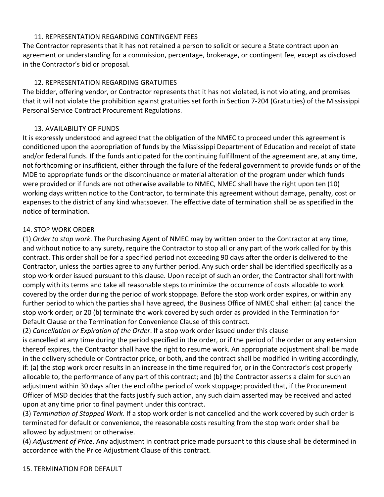#### 11. REPRESENTATION REGARDING CONTINGENT FEES

The Contractor represents that it has not retained a person to solicit or secure a State contract upon an agreement or understanding for a commission, percentage, brokerage, or contingent fee, except as disclosed in the Contractor's bid or proposal.

#### 12. REPRESENTATION REGARDING GRATUITIES

The bidder, offering vendor, or Contractor represents that it has not violated, is not violating, and promises that it will not violate the prohibition against gratuities set forth in Section 7-204 (Gratuities) of the Mississippi Personal Service Contract Procurement Regulations.

#### 13. AVAILABILITY OF FUNDS

It is expressly understood and agreed that the obligation of the NMEC to proceed under this agreement is conditioned upon the appropriation of funds by the Mississippi Department of Education and receipt of state and/or federal funds. If the funds anticipated for the continuing fulfillment of the agreement are, at any time, not forthcoming or insufficient, either through the failure of the federal government to provide funds or of the MDE to appropriate funds or the discontinuance or material alteration of the program under which funds were provided or if funds are not otherwise available to NMEC, NMEC shall have the right upon ten (10) working days written notice to the Contractor, to terminate this agreement without damage, penalty, cost or expenses to the district of any kind whatsoever. The effective date of termination shall be as specified in the notice of termination.

#### 14. STOP WORK ORDER

(1) *Order to stop work*. The Purchasing Agent of NMEC may by written order to the Contractor at any time, and without notice to any surety, require the Contractor to stop all or any part of the work called for by this contract. This order shall be for a specified period not exceeding 90 days after the order is delivered to the Contractor, unless the parties agree to any further period. Any such order shall be identified specifically as a stop work order issued pursuant to this clause. Upon receipt of such an order, the Contractor shall forthwith comply with its terms and take all reasonable steps to minimize the occurrence of costs allocable to work covered by the order during the period of work stoppage. Before the stop work order expires, or within any further period to which the parties shall have agreed, the Business Office of NMEC shall either: (a) cancel the stop work order; or 20 (b) terminate the work covered by such order as provided in the Termination for Default Clause or the Termination for Convenience Clause of this contract.

(2) *Cancellation or Expiration of the Order*. If a stop work order issued under this clause

is cancelled at any time during the period specified in the order, or if the period of the order or any extension thereof expires, the Contractor shall have the right to resume work. An appropriate adjustment shall be made in the delivery schedule or Contractor price, or both, and the contract shall be modified in writing accordingly, if: (a) the stop work order results in an increase in the time required for, or in the Contractor's cost properly allocable to, the performance of any part of this contract; and (b) the Contractor asserts a claim for such an adjustment within 30 days after the end ofthe period of work stoppage; provided that, if the Procurement Officer of MSD decides that the facts justify such action, any such claim asserted may be received and acted upon at any time prior to final payment under this contract.

(3) *Termination of Stopped Work*. If a stop work order is not cancelled and the work covered by such order is terminated for default or convenience, the reasonable costs resulting from the stop work order shall be allowed by adjustment or otherwise.

(4) *Adjustment of Price*. Any adjustment in contract price made pursuant to this clause shall be determined in accordance with the Price Adjustment Clause of this contract.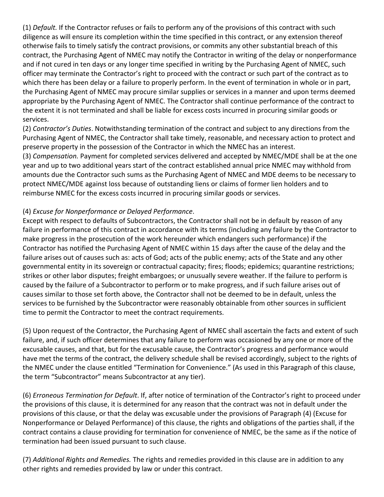(1) *Default.* If the Contractor refuses or fails to perform any of the provisions of this contract with such diligence as will ensure its completion within the time specified in this contract, or any extension thereof otherwise fails to timely satisfy the contract provisions, or commits any other substantial breach of this contract, the Purchasing Agent of NMEC may notify the Contractor in writing of the delay or nonperformance and if not cured in ten days or any longer time specified in writing by the Purchasing Agent of NMEC, such officer may terminate the Contractor's right to proceed with the contract or such part of the contract as to which there has been delay or a failure to properly perform. In the event of termination in whole or in part, the Purchasing Agent of NMEC may procure similar supplies or services in a manner and upon terms deemed appropriate by the Purchasing Agent of NMEC. The Contractor shall continue performance of the contract to the extent it is not terminated and shall be liable for excess costs incurred in procuring similar goods or services.

(2) *Contractor's Duties*. Notwithstanding termination of the contract and subject to any directions from the Purchasing Agent of NMEC, the Contractor shall take timely, reasonable, and necessary action to protect and preserve property in the possession of the Contractor in which the NMEC has an interest.

(3) *Compensation.* Payment for completed services delivered and accepted by NMEC/MDE shall be at the one year and up to two additional years start of the contract established annual price NMEC may withhold from amounts due the Contractor such sums as the Purchasing Agent of NMEC and MDE deems to be necessary to protect NMEC/MDE against loss because of outstanding liens or claims of former lien holders and to reimburse NMEC for the excess costs incurred in procuring similar goods or services.

### (4) *Excuse for Nonperformance or Delayed Performance*.

Except with respect to defaults of Subcontractors, the Contractor shall not be in default by reason of any failure in performance of this contract in accordance with its terms (including any failure by the Contractor to make progress in the prosecution of the work hereunder which endangers such performance) if the Contractor has notified the Purchasing Agent of NMEC within 15 days after the cause of the delay and the failure arises out of causes such as: acts of God; acts of the public enemy; acts of the State and any other governmental entity in its sovereign or contractual capacity; fires; floods; epidemics; quarantine restrictions; strikes or other labor disputes; freight embargoes; or unusually severe weather. If the failure to perform is caused by the failure of a Subcontractor to perform or to make progress, and if such failure arises out of causes similar to those set forth above, the Contractor shall not be deemed to be in default, unless the services to be furnished by the Subcontractor were reasonably obtainable from other sources in sufficient time to permit the Contractor to meet the contract requirements.

(5) Upon request of the Contractor, the Purchasing Agent of NMEC shall ascertain the facts and extent of such failure, and, if such officer determines that any failure to perform was occasioned by any one or more of the excusable causes, and that, but for the excusable cause, the Contractor's progress and performance would have met the terms of the contract, the delivery schedule shall be revised accordingly, subject to the rights of the NMEC under the clause entitled "Termination for Convenience." (As used in this Paragraph of this clause, the term "Subcontractor" means Subcontractor at any tier).

(6) *Erroneous Termination for Default*. If, after notice of termination of the Contractor's right to proceed under the provisions of this clause, it is determined for any reason that the contract was not in default under the provisions of this clause, or that the delay was excusable under the provisions of Paragraph (4) (Excuse for Nonperformance or Delayed Performance) of this clause, the rights and obligations of the parties shall, if the contract contains a clause providing for termination for convenience of NMEC, be the same as if the notice of termination had been issued pursuant to such clause.

(7) *Additional Rights and Remedies.* The rights and remedies provided in this clause are in addition to any other rights and remedies provided by law or under this contract.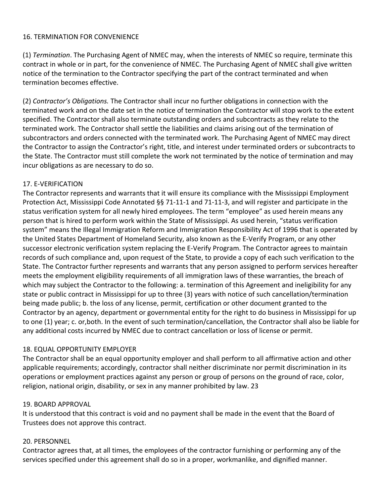#### 16. TERMINATION FOR CONVENIENCE

(1) *Termination*. The Purchasing Agent of NMEC may, when the interests of NMEC so require, terminate this contract in whole or in part, for the convenience of NMEC. The Purchasing Agent of NMEC shall give written notice of the termination to the Contractor specifying the part of the contract terminated and when termination becomes effective.

(2) *Contractor's Obligations.* The Contractor shall incur no further obligations in connection with the terminated work and on the date set in the notice of termination the Contractor will stop work to the extent specified. The Contractor shall also terminate outstanding orders and subcontracts as they relate to the terminated work. The Contractor shall settle the liabilities and claims arising out of the termination of subcontractors and orders connected with the terminated work. The Purchasing Agent of NMEC may direct the Contractor to assign the Contractor's right, title, and interest under terminated orders or subcontracts to the State. The Contractor must still complete the work not terminated by the notice of termination and may incur obligations as are necessary to do so.

#### 17. E-VERIFICATION

The Contractor represents and warrants that it will ensure its compliance with the Mississippi Employment Protection Act, Mississippi Code Annotated §§ 71-11-1 and 71-11-3, and will register and participate in the status verification system for all newly hired employees. The term "employee" as used herein means any person that is hired to perform work within the State of Mississippi. As used herein, "status verification system" means the Illegal Immigration Reform and Immigration Responsibility Act of 1996 that is operated by the United States Department of Homeland Security, also known as the E-Verify Program, or any other successor electronic verification system replacing the E-Verify Program. The Contractor agrees to maintain records of such compliance and, upon request of the State, to provide a copy of each such verification to the State. The Contractor further represents and warrants that any person assigned to perform services hereafter meets the employment eligibility requirements of all immigration laws of these warranties, the breach of which may subject the Contractor to the following: a. termination of this Agreement and ineligibility for any state or public contract in Mississippi for up to three (3) years with notice of such cancellation/termination being made public; b. the loss of any license, permit, certification or other document granted to the Contractor by an agency, department or governmental entity for the right to do business in Mississippi for up to one (1) year; c. or,both. In the event of such termination/cancellation, the Contractor shall also be liable for any additional costs incurred by NMEC due to contract cancellation or loss of license or permit.

#### 18. EQUAL OPPORTUNITY EMPLOYER

The Contractor shall be an equal opportunity employer and shall perform to all affirmative action and other applicable requirements; accordingly, contractor shall neither discriminate nor permit discrimination in its operations or employment practices against any person or group of persons on the ground of race, color, religion, national origin, disability, or sex in any manner prohibited by law. 23

#### 19. BOARD APPROVAL

It is understood that this contract is void and no payment shall be made in the event that the Board of Trustees does not approve this contract.

#### 20. PERSONNEL

Contractor agrees that, at all times, the employees of the contractor furnishing or performing any of the services specified under this agreement shall do so in a proper, workmanlike, and dignified manner.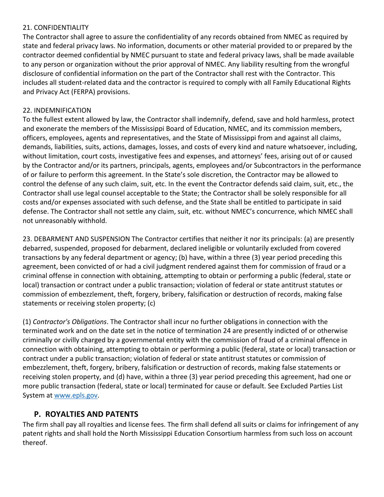#### 21. CONFIDENTIALITY

The Contractor shall agree to assure the confidentiality of any records obtained from NMEC as required by state and federal privacy laws. No information, documents or other material provided to or prepared by the contractor deemed confidential by NMEC pursuant to state and federal privacy laws, shall be made available to any person or organization without the prior approval of NMEC. Any liability resulting from the wrongful disclosure of confidential information on the part of the Contractor shall rest with the Contractor. This includes all student-related data and the contractor is required to comply with all Family Educational Rights and Privacy Act (FERPA) provisions.

### 22. INDEMNIFICATION

To the fullest extent allowed by law, the Contractor shall indemnify, defend, save and hold harmless, protect and exonerate the members of the Mississippi Board of Education, NMEC, and its commission members, officers, employees, agents and representatives, and the State of Mississippi from and against all claims, demands, liabilities, suits, actions, damages, losses, and costs of every kind and nature whatsoever, including, without limitation, court costs, investigative fees and expenses, and attorneys' fees, arising out of or caused by the Contractor and/or its partners, principals, agents, employees and/or Subcontractors in the performance of or failure to perform this agreement. In the State's sole discretion, the Contractor may be allowed to control the defense of any such claim, suit, etc. In the event the Contractor defends said claim, suit, etc., the Contractor shall use legal counsel acceptable to the State; the Contractor shall be solely responsible for all costs and/or expenses associated with such defense, and the State shall be entitled to participate in said defense. The Contractor shall not settle any claim, suit, etc. without NMEC's concurrence, which NMEC shall not unreasonably withhold.

23. DEBARMENT AND SUSPENSION The Contractor certifies that neither it nor its principals: (a) are presently debarred, suspended, proposed for debarment, declared ineligible or voluntarily excluded from covered transactions by any federal department or agency; (b) have, within a three (3) year period preceding this agreement, been convicted of or had a civil judgment rendered against them for commission of fraud or a criminal offense in connection with obtaining, attempting to obtain or performing a public (federal, state or local) transaction or contract under a public transaction; violation of federal or state antitrust statutes or commission of embezzlement, theft, forgery, bribery, falsification or destruction of records, making false statements or receiving stolen property; (c)

(1) *Contractor's Obligations*. The Contractor shall incur no further obligations in connection with the terminated work and on the date set in the notice of termination 24 are presently indicted of or otherwise criminally or civilly charged by a governmental entity with the commission of fraud of a criminal offence in connection with obtaining, attempting to obtain or performing a public (federal, state or local) transaction or contract under a public transaction; violation of federal or state antitrust statutes or commission of embezzlement, theft, forgery, bribery, falsification or destruction of records, making false statements or receiving stolen property, and (d) have, within a three (3) year period preceding this agreement, had one or more public transaction (federal, state or local) terminated for cause or default. See Excluded Parties List System at www.epls.gov.

# **P. ROYALTIES AND PATENTS**

The firm shall pay all royalties and license fees. The firm shall defend all suits or claims for infringement of any patent rights and shall hold the North Mississippi Education Consortium harmless from such loss on account thereof.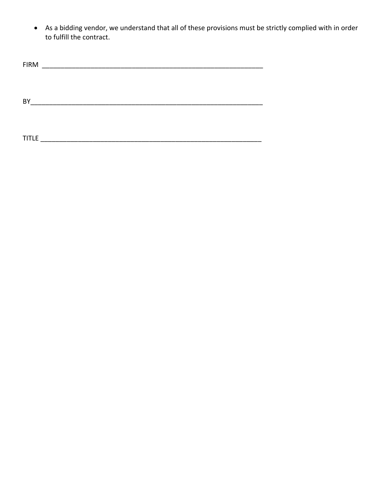• As a bidding vendor, we understand that all of these provisions must be strictly complied with in order to fulfill the contract.

| <b>FIRM</b>  |  |  |
|--------------|--|--|
|              |  |  |
|              |  |  |
|              |  |  |
| <b>BY</b>    |  |  |
|              |  |  |
|              |  |  |
|              |  |  |
| <b>TITLE</b> |  |  |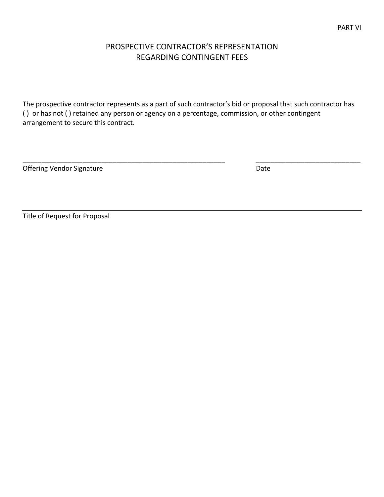# PROSPECTIVE CONTRACTOR'S REPRESENTATION REGARDING CONTINGENT FEES

The prospective contractor represents as a part of such contractor's bid or proposal that such contractor has ( ) or has not ( ) retained any person or agency on a percentage, commission, or other contingent arrangement to secure this contract.

\_\_\_\_\_\_\_\_\_\_\_\_\_\_\_\_\_\_\_\_\_\_\_\_\_\_\_\_\_\_\_\_\_\_\_\_\_\_\_\_\_\_\_\_\_\_\_\_\_\_\_\_\_\_ \_\_\_\_\_\_\_\_\_\_\_\_\_\_\_\_\_\_\_\_\_\_\_\_\_\_\_\_

Offering Vendor Signature **Date** Date Date

Title of Request for Proposal